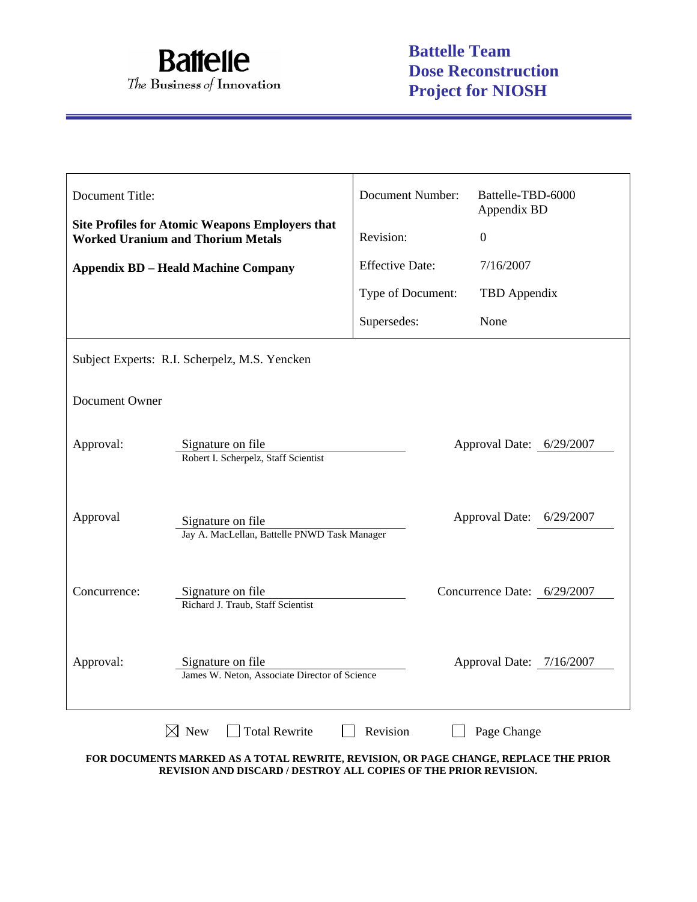

| Document Title: |                                                                                                         | Document Number:       | Battelle-TBD-6000<br>Appendix BD |  |  |
|-----------------|---------------------------------------------------------------------------------------------------------|------------------------|----------------------------------|--|--|
|                 | <b>Site Profiles for Atomic Weapons Employers that</b><br><b>Worked Uranium and Thorium Metals</b>      | Revision:              | $\boldsymbol{0}$                 |  |  |
|                 | <b>Appendix BD - Heald Machine Company</b>                                                              | <b>Effective Date:</b> | 7/16/2007                        |  |  |
|                 |                                                                                                         | Type of Document:      | TBD Appendix                     |  |  |
|                 |                                                                                                         | Supersedes:            | None                             |  |  |
|                 | Subject Experts: R.I. Scherpelz, M.S. Yencken                                                           |                        |                                  |  |  |
| Document Owner  |                                                                                                         |                        |                                  |  |  |
| Approval:       | Approval Date: 6/29/2007<br>Signature on file<br>Robert I. Scherpelz, Staff Scientist                   |                        |                                  |  |  |
| Approval        | <b>Approval Date:</b><br>6/29/2007<br>Signature on file<br>Jay A. MacLellan, Battelle PNWD Task Manager |                        |                                  |  |  |
| Concurrence:    | Signature on file<br>Richard J. Traub, Staff Scientist                                                  |                        | Concurrence Date: 6/29/2007      |  |  |
| Approval:       | Signature on file<br>James W. Neton, Associate Director of Science                                      |                        | Approval Date: 7/16/2007         |  |  |
|                 | <b>Total Rewrite</b><br>$\boxtimes$ New                                                                 | Revision               | Page Change                      |  |  |

**FOR DOCUMENTS MARKED AS A TOTAL REWRITE, REVISION, OR PAGE CHANGE, REPLACE THE PRIOR REVISION AND DISCARD / DESTROY ALL COPIES OF THE PRIOR REVISION.**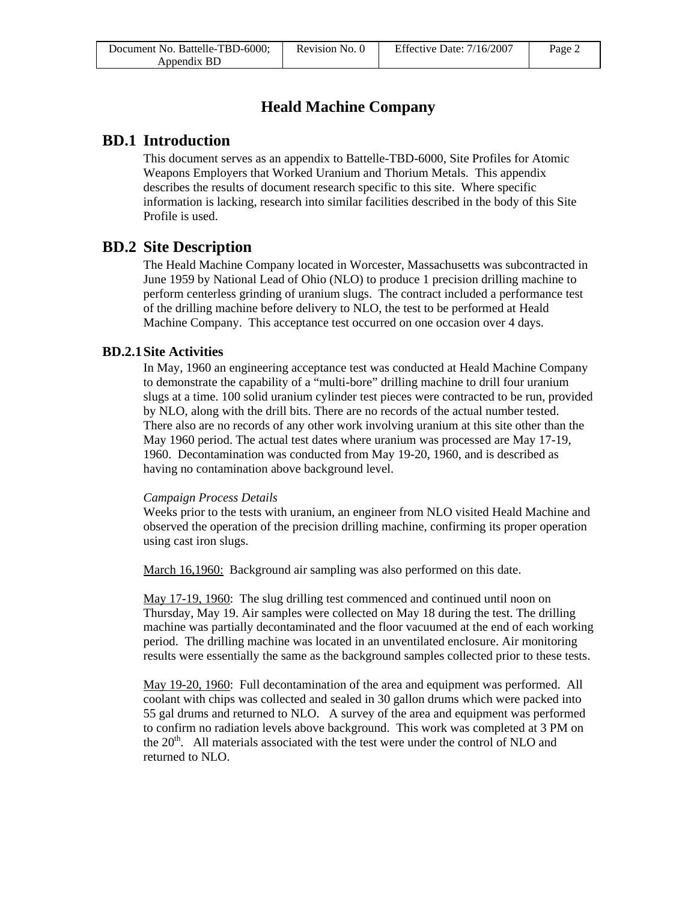| Document No. Battelle-TBD-6000; | Revision No. 0 | Effective Date: 7/16/2007 | Page 2 |
|---------------------------------|----------------|---------------------------|--------|
| Appendix BD                     |                |                           |        |

# **Heald Machine Company**

# **BD.1 Introduction**

This document serves as an appendix to Battelle-TBD-6000, Site Profiles for Atomic Weapons Employers that Worked Uranium and Thorium Metals. This appendix describes the results of document research specific to this site. Where specific information is lacking, research into similar facilities described in the body of this Site Profile is used.

# **BD.2 Site Description**

The Heald Machine Company located in Worcester, Massachusetts was subcontracted in June 1959 by National Lead of Ohio (NLO) to produce 1 precision drilling machine to perform centerless grinding of uranium slugs. The contract included a performance test of the drilling machine before delivery to NLO, the test to be performed at Heald Machine Company. This acceptance test occurred on one occasion over 4 days.

## **BD.2.1 Site Activities**

In May, 1960 an engineering acceptance test was conducted at Heald Machine Company to demonstrate the capability of a "multi-bore" drilling machine to drill four uranium slugs at a time. 100 solid uranium cylinder test pieces were contracted to be run, provided by NLO, along with the drill bits. There are no records of the actual number tested. There also are no records of any other work involving uranium at this site other than the May 1960 period. The actual test dates where uranium was processed are May 17-19, 1960. Decontamination was conducted from May 19-20, 1960, and is described as having no contamination above background level.

### *Campaign Process Details*

Weeks prior to the tests with uranium, an engineer from NLO visited Heald Machine and observed the operation of the precision drilling machine, confirming its proper operation using cast iron slugs.

March 16,1960: Background air sampling was also performed on this date.

May 17-19, 1960: The slug drilling test commenced and continued until noon on Thursday, May 19. Air samples were collected on May 18 during the test. The drilling machine was partially decontaminated and the floor vacuumed at the end of each working period. The drilling machine was located in an unventilated enclosure. Air monitoring results were essentially the same as the background samples collected prior to these tests.

May 19-20, 1960: Full decontamination of the area and equipment was performed. All coolant with chips was collected and sealed in 30 gallon drums which were packed into 55 gal drums and returned to NLO. A survey of the area and equipment was performed to confirm no radiation levels above background. This work was completed at 3 PM on the  $20<sup>th</sup>$ . All materials associated with the test were under the control of NLO and returned to NLO.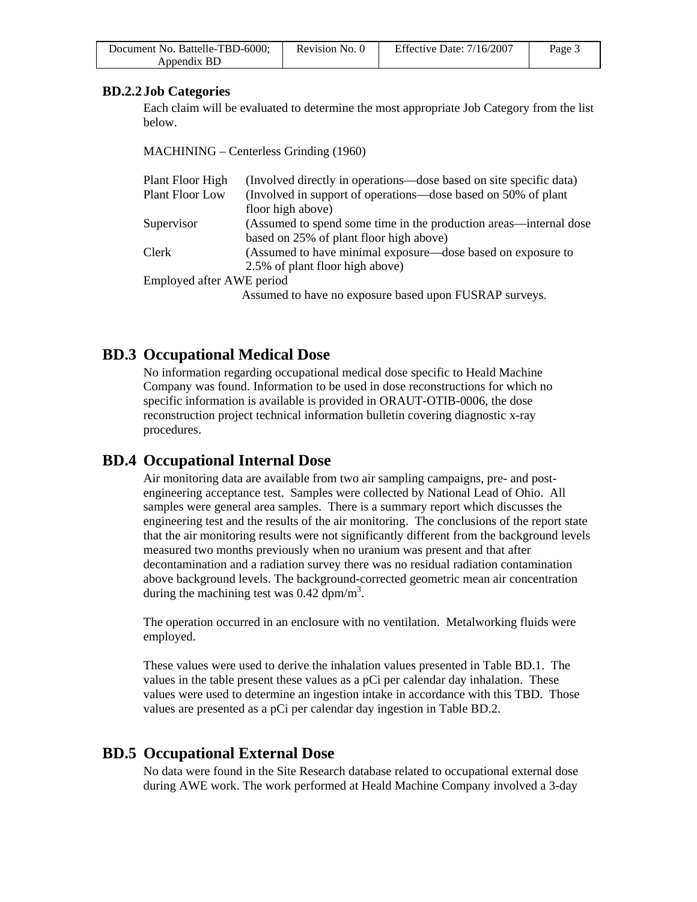| Document No. Battelle-TBD-6000; | Revision No. 0 | Effective Date: $7/16/2007$ | Page 3 |
|---------------------------------|----------------|-----------------------------|--------|
| Appendix BD                     |                |                             |        |

### **BD.2.2 Job Categories**

Each claim will be evaluated to determine the most appropriate Job Category from the list below.

MACHINING – Centerless Grinding (1960)

| Plant Floor High          | (Involved directly in operations—dose based on site specific data) |
|---------------------------|--------------------------------------------------------------------|
| Plant Floor Low           | (Involved in support of operations—dose based on 50% of plant      |
|                           | floor high above)                                                  |
| Supervisor                | (Assumed to spend some time in the production areas—internal dose  |
|                           | based on 25% of plant floor high above)                            |
| Clerk                     | (Assumed to have minimal exposure—dose based on exposure to        |
|                           | 2.5% of plant floor high above)                                    |
| Employed after AWE period |                                                                    |
|                           | Assumed to have no exposure based upon FUSRAP surveys.             |
|                           |                                                                    |

# **BD.3 Occupational Medical Dose**

No information regarding occupational medical dose specific to Heald Machine Company was found. Information to be used in dose reconstructions for which no specific information is available is provided in ORAUT-OTIB-0006, the dose reconstruction project technical information bulletin covering diagnostic x-ray procedures.

## **BD.4 Occupational Internal Dose**

Air monitoring data are available from two air sampling campaigns, pre- and postengineering acceptance test. Samples were collected by National Lead of Ohio. All samples were general area samples. There is a summary report which discusses the engineering test and the results of the air monitoring. The conclusions of the report state that the air monitoring results were not significantly different from the background levels measured two months previously when no uranium was present and that after decontamination and a radiation survey there was no residual radiation contamination above background levels. The background-corrected geometric mean air concentration during the machining test was  $0.42 \text{ dpm/m}^3$ .

The operation occurred in an enclosure with no ventilation. Metalworking fluids were employed.

These values were used to derive the inhalation values presented in Table BD.1. The values in the table present these values as a pCi per calendar day inhalation. These values were used to determine an ingestion intake in accordance with this TBD. Those values are presented as a pCi per calendar day ingestion in Table BD.2.

# **BD.5 Occupational External Dose**

No data were found in the Site Research database related to occupational external dose during AWE work. The work performed at Heald Machine Company involved a 3-day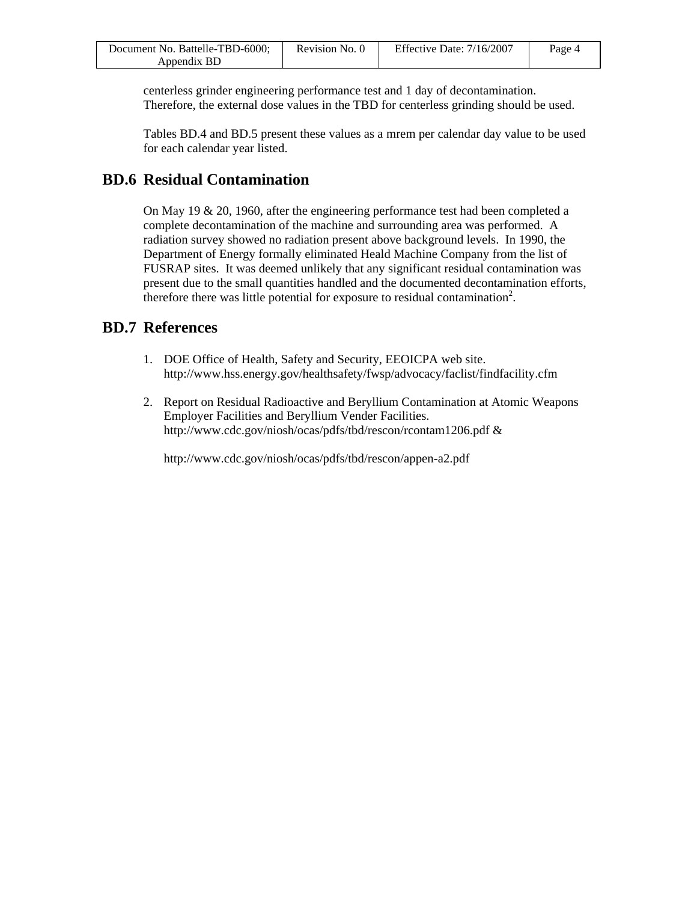| Document No. Battelle-TBD-6000; | Revision No. 0 | Effective Date: 7/16/2007 | Page 4 |
|---------------------------------|----------------|---------------------------|--------|
| Appendix BD                     |                |                           |        |

centerless grinder engineering performance test and 1 day of decontamination. Therefore, the external dose values in the TBD for centerless grinding should be used.

Tables BD.4 and BD.5 present these values as a mrem per calendar day value to be used for each calendar year listed.

# **BD.6 Residual Contamination**

On May 19  $\&$  20, 1960, after the engineering performance test had been completed a complete decontamination of the machine and surrounding area was performed. A radiation survey showed no radiation present above background levels. In 1990, the Department of Energy formally eliminated Heald Machine Company from the list of FUSRAP sites. It was deemed unlikely that any significant residual contamination was present due to the small quantities handled and the documented decontamination efforts, therefore there was little potential for exposure to residual contamination<sup>2</sup>.

# **BD.7 References**

- 1. DOE Office of Health, Safety and Security, EEOICPA web site. http://www.hss.energy.gov/healthsafety/fwsp/advocacy/faclist/findfacility.cfm
- 2. Report on Residual Radioactive and Beryllium Contamination at Atomic Weapons Employer Facilities and Beryllium Vender Facilities. http://www.cdc.gov/niosh/ocas/pdfs/tbd/rescon/rcontam1206.pdf &

http://www.cdc.gov/niosh/ocas/pdfs/tbd/rescon/appen-a2.pdf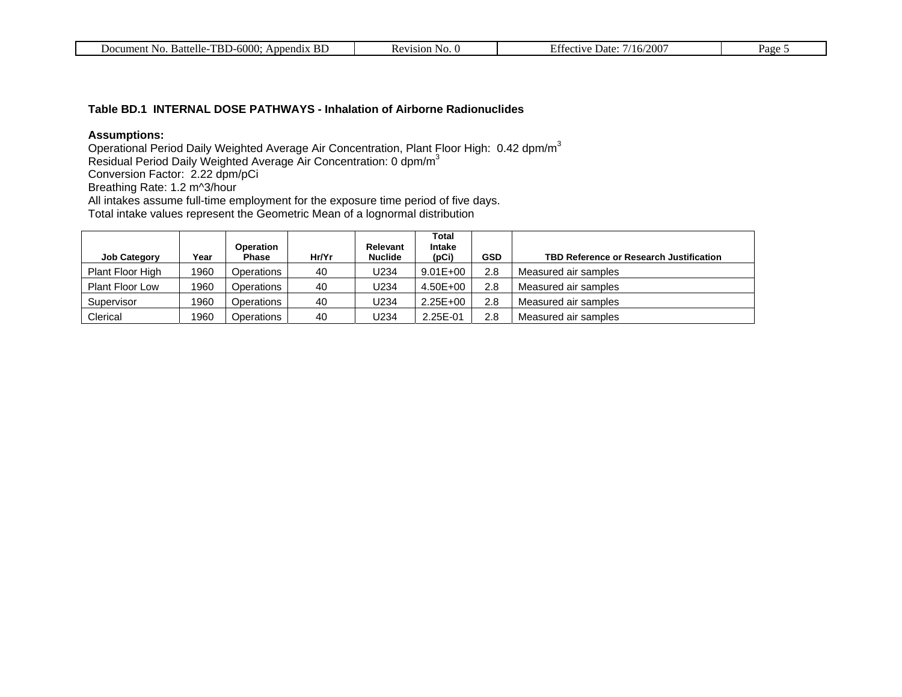| <b>TBD-6000:</b><br>Appendix BD<br>Battelle-T<br>Document No. | Revision<br>`No. U | ′2007<br>Date:<br>u fective :<br>ำเธ⊭ | Page |
|---------------------------------------------------------------|--------------------|---------------------------------------|------|
|---------------------------------------------------------------|--------------------|---------------------------------------|------|

#### **Table BD.1 INTERNAL DOSE PATHWAYS - Inhalation of Airborne Radionuclides**

### **Assumptions:**

Operational Period Daily Weighted Average Air Concentration, Plant Floor High: 0.42 dpm/m<sup>3</sup>

Residual Period Daily Weighted Average Air Concentration: 0 dpm/m<sup>3</sup>

Conversion Factor: 2.22 dpm/pCi

Breathing Rate: 1.2 m^3/hour

All intakes assume full-time employment for the exposure time period of five days.

Total intake values represent the Geometric Mean of a lognormal distribution

| <b>Job Category</b>    | Year | <b>Operation</b><br><b>Phase</b> | Hr/Yr | Relevant<br><b>Nuclide</b> | <b>Total</b><br>Intake<br>(pCi) | GSD | TBD Reference or Research Justification |
|------------------------|------|----------------------------------|-------|----------------------------|---------------------------------|-----|-----------------------------------------|
| Plant Floor High       | 1960 | Operations                       | 40    | J234                       | $9.01E + 00$                    | 2.8 | Measured air samples                    |
| <b>Plant Floor Low</b> | 1960 | Operations                       | 40    | J234                       | 4.50E+00                        | 2.8 | Measured air samples                    |
| Supervisor             | 1960 | Operations                       | 40    | J234                       | $2.25E + 00$                    | 2.8 | Measured air samples                    |
| Clerical               | 1960 | Operations                       | 40    | U234                       | 2.25E-01                        | 2.8 | Measured air samples                    |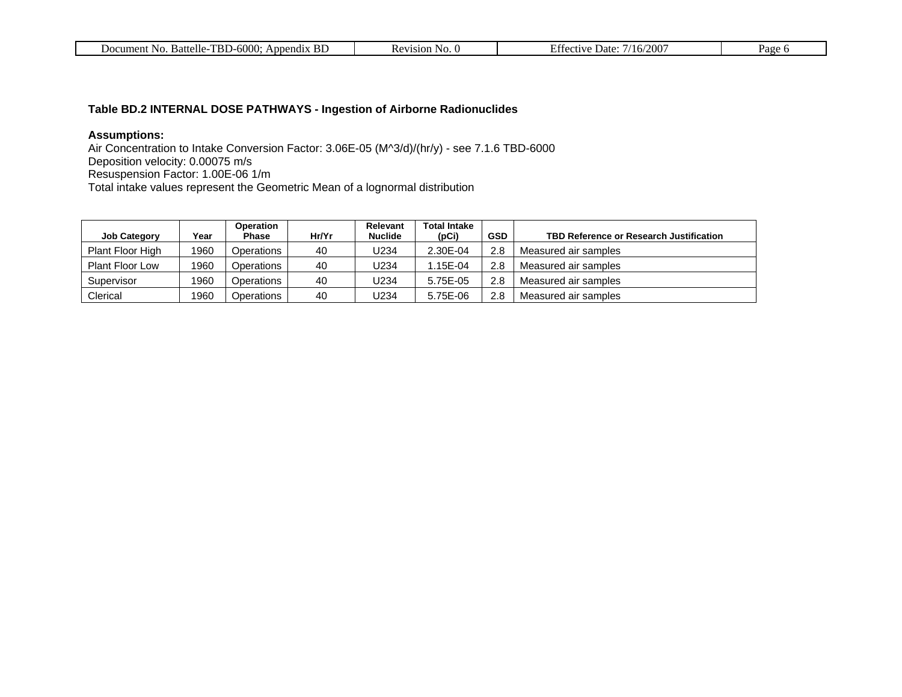| $-600c$<br>TRL.<br><b>Battelle</b><br>Jocument<br>NO.<br>Append <sub>1X</sub><br>н.<br>.<br>- 121. | sion<br>- 190. U | $200^{\circ}$<br>0.01117<br>Date:<br>$\mathbf{h}$<br>2U | Page<br>а. |
|----------------------------------------------------------------------------------------------------|------------------|---------------------------------------------------------|------------|
|----------------------------------------------------------------------------------------------------|------------------|---------------------------------------------------------|------------|

## **Table BD.2 INTERNAL DOSE PATHWAYS - Ingestion of Airborne Radionuclides**

### **Assumptions:**

Air Concentration to Intake Conversion Factor: 3.06E-05 (M^3/d)/(hr/y) - see 7.1.6 TBD-6000 Deposition velocity: 0.00075 m/s Resuspension Factor: 1.00E-06 1/m Total intake values represent the Geometric Mean of a lognormal distribution

| <b>Job Category</b>    | Year | Operation<br><b>Phase</b> | Hr/Yr | Relevant<br><b>Nuclide</b> | <b>Total Intake</b><br>(DCi) | <b>GSD</b> | TBD Reference or Research Justification |
|------------------------|------|---------------------------|-------|----------------------------|------------------------------|------------|-----------------------------------------|
| Plant Floor High       | 1960 | Operations                | 40    | J234                       | 2.30E-04                     | 2.8        | Measured air samples                    |
| <b>Plant Floor Low</b> | 1960 | Operations                | 40    | J234                       | 1.15E-04                     | 2.8        | Measured air samples                    |
| Supervisor             | 1960 | Operations                | 40    | J234                       | 5.75E-05                     | 2.8        | Measured air samples                    |
| Clerical               | 1960 | Operations                | 40    | J234                       | 5.75E-06                     | 2.8        | Measured air samples                    |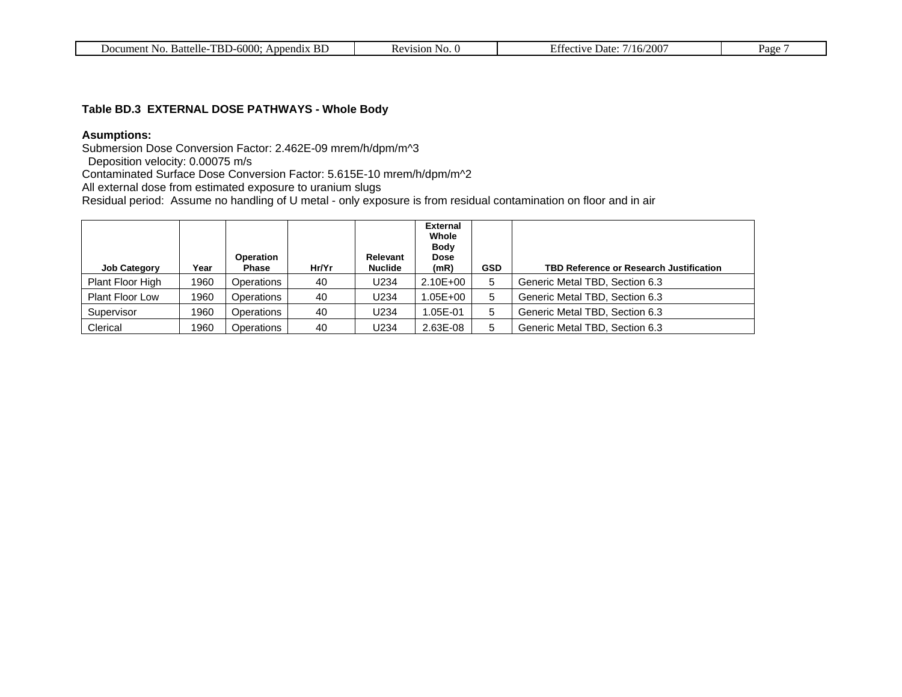| 6000<br>TB).<br>BЕ<br>Append <sub>1X</sub><br>Battelle<br>No.<br>cument<br>Doc | 1810 n<br>N <sub>O</sub><br>$\overline{\phantom{a}}$ | $200^{\circ}$<br>$\Delta$ ctiva<br>Date:<br>16 <sub>l</sub><br>71 I EA . | Page |
|--------------------------------------------------------------------------------|------------------------------------------------------|--------------------------------------------------------------------------|------|
|                                                                                |                                                      |                                                                          |      |

### **Table BD.3 EXTERNAL DOSE PATHWAYS - Whole Body**

## **Asumptions:**

Submersion Dose Conversion Factor: 2.462E-09 mrem/h/dpm/m^3

Deposition velocity: 0.00075 m/s

Contaminated Surface Dose Conversion Factor: 5.615E-10 mrem/h/dpm/m^2

All external dose from estimated exposure to uranium slugs

Residual period: Assume no handling of U metal - only exposure is from residual contamination on floor and in air

| <b>Job Category</b>    | Year | <b>Operation</b><br>Phase | Hr/Yr | <b>Relevant</b><br><b>Nuclide</b> | <b>External</b><br>Whole<br><b>Body</b><br><b>Dose</b><br>(mR) | <b>GSD</b> | <b>TBD Reference or Research Justification</b> |
|------------------------|------|---------------------------|-------|-----------------------------------|----------------------------------------------------------------|------------|------------------------------------------------|
| Plant Floor High       | 1960 | Operations                | 40    | U234                              | $2.10E + 00$                                                   | 5          | Generic Metal TBD, Section 6.3                 |
| <b>Plant Floor Low</b> | 1960 | Operations                | 40    | U234                              | .05E+00                                                        | 5          | Generic Metal TBD, Section 6.3                 |
| Supervisor             | 1960 | Operations                | 40    | U234                              | .05E-01                                                        | 5          | Generic Metal TBD, Section 6.3                 |
| Clerical               | 1960 | Operations                | 40    | U234                              | 2.63E-08                                                       | 5          | Generic Metal TBD, Section 6.3                 |